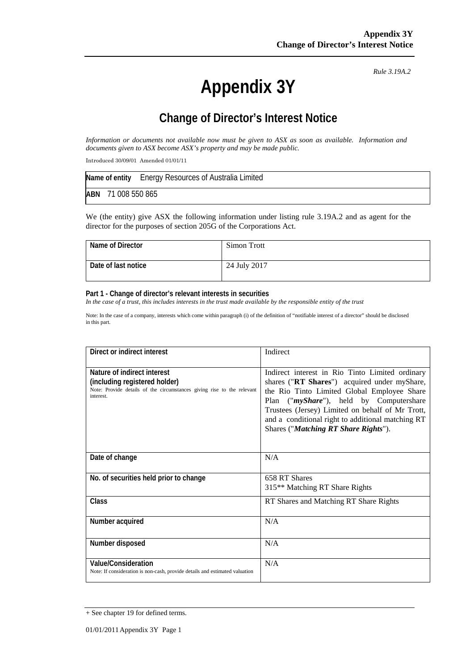# **Appendix 3Y**

*Rule 3.19A.2*

## **Change of Director's Interest Notice**

*Information or documents not available now must be given to ASX as soon as available. Information and documents given to ASX become ASX's property and may be made public.*

Introduced 30/09/01 Amended 01/01/11

|     |                | Name of entity Energy Resources of Australia Limited |
|-----|----------------|------------------------------------------------------|
| ABN | 71 008 550 865 |                                                      |

We (the entity) give ASX the following information under listing rule 3.19A.2 and as agent for the director for the purposes of section 205G of the Corporations Act.

| Name of Director      | Simon Trott  |
|-----------------------|--------------|
| l Date of last notice | 24 July 2017 |

#### **Part 1 - Change of director's relevant interests in securities**

*In the case of a trust, this includes interests in the trust made available by the responsible entity of the trust* 

Note: In the case of a company, interests which come within paragraph (i) of the definition of "notifiable interest of a director" should be disclosed in this part.

| Direct or indirect interest                                                                                                                         | Indirect                                                                                                                                                                                                                                                                                                                                   |
|-----------------------------------------------------------------------------------------------------------------------------------------------------|--------------------------------------------------------------------------------------------------------------------------------------------------------------------------------------------------------------------------------------------------------------------------------------------------------------------------------------------|
| Nature of indirect interest<br>(including registered holder)<br>Note: Provide details of the circumstances giving rise to the relevant<br>interest. | Indirect interest in Rio Tinto Limited ordinary<br>shares ("RT Shares") acquired under myShare,<br>the Rio Tinto Limited Global Employee Share<br>Plan ("myShare"), held by Computershare<br>Trustees (Jersey) Limited on behalf of Mr Trott,<br>and a conditional right to additional matching RT<br>Shares ("Matching RT Share Rights"). |
| Date of change                                                                                                                                      | N/A                                                                                                                                                                                                                                                                                                                                        |
| No. of securities held prior to change                                                                                                              | 658 RT Shares<br>315 <sup>**</sup> Matching RT Share Rights                                                                                                                                                                                                                                                                                |
| Class                                                                                                                                               | RT Shares and Matching RT Share Rights                                                                                                                                                                                                                                                                                                     |
| Number acquired                                                                                                                                     | N/A                                                                                                                                                                                                                                                                                                                                        |
| Number disposed                                                                                                                                     | N/A                                                                                                                                                                                                                                                                                                                                        |
| <b>Value/Consideration</b><br>Note: If consideration is non-cash, provide details and estimated valuation                                           | N/A                                                                                                                                                                                                                                                                                                                                        |

<sup>+</sup> See chapter 19 for defined terms.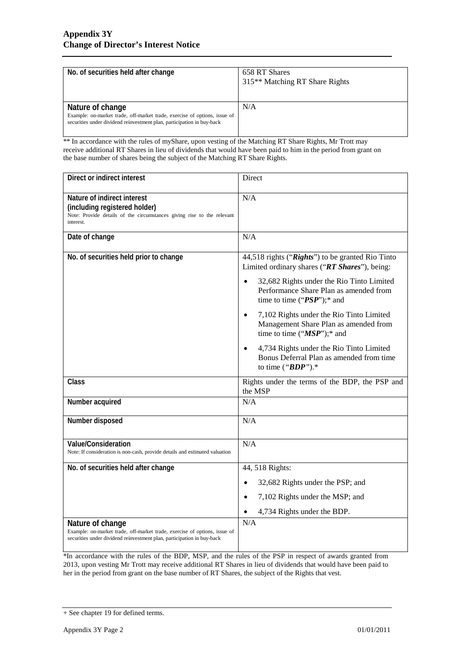| No. of securities held after change                                                                                                                                     | 658 RT Shares<br>315 <sup>**</sup> Matching RT Share Rights |
|-------------------------------------------------------------------------------------------------------------------------------------------------------------------------|-------------------------------------------------------------|
| Nature of change<br>Example: on-market trade, off-market trade, exercise of options, issue of<br>securities under dividend reinvestment plan, participation in buy-back | N/A                                                         |

 $\frac{1}{100}$  \*\* In accordance with the rules of myShare, upon vesting of the Matching RT Share Rights, Mr Trott may receive additional RT Shares in lieu of dividends that would have been paid to him in the period from grant on the base number of shares being the subject of the Matching RT Share Rights.

| Direct or indirect interest                                                                                                                                             | Direct                                                                                                                                                                                                                                                                                                                                                                                                                                                             |
|-------------------------------------------------------------------------------------------------------------------------------------------------------------------------|--------------------------------------------------------------------------------------------------------------------------------------------------------------------------------------------------------------------------------------------------------------------------------------------------------------------------------------------------------------------------------------------------------------------------------------------------------------------|
| Nature of indirect interest<br>(including registered holder)<br>Note: Provide details of the circumstances giving rise to the relevant<br>interest.                     | N/A                                                                                                                                                                                                                                                                                                                                                                                                                                                                |
| Date of change                                                                                                                                                          | N/A                                                                                                                                                                                                                                                                                                                                                                                                                                                                |
| No. of securities held prior to change                                                                                                                                  | 44,518 rights ("Rights") to be granted Rio Tinto<br>Limited ordinary shares ("RT Shares"), being:<br>32,682 Rights under the Rio Tinto Limited<br>Performance Share Plan as amended from<br>time to time (" $PSP$ ");* and<br>7,102 Rights under the Rio Tinto Limited<br>Management Share Plan as amended from<br>time to time (" $MSP$ ");* and<br>4,734 Rights under the Rio Tinto Limited<br>Bonus Deferral Plan as amended from time<br>to time (" $BDP$ ").* |
| <b>Class</b>                                                                                                                                                            | Rights under the terms of the BDP, the PSP and<br>the MSP                                                                                                                                                                                                                                                                                                                                                                                                          |
| Number acquired                                                                                                                                                         | N/A                                                                                                                                                                                                                                                                                                                                                                                                                                                                |
| Number disposed                                                                                                                                                         | N/A                                                                                                                                                                                                                                                                                                                                                                                                                                                                |
| Value/Consideration<br>Note: If consideration is non-cash, provide details and estimated valuation                                                                      | N/A                                                                                                                                                                                                                                                                                                                                                                                                                                                                |
| No. of securities held after change                                                                                                                                     | 44, 518 Rights:                                                                                                                                                                                                                                                                                                                                                                                                                                                    |
|                                                                                                                                                                         | 32,682 Rights under the PSP; and                                                                                                                                                                                                                                                                                                                                                                                                                                   |
|                                                                                                                                                                         | 7,102 Rights under the MSP; and                                                                                                                                                                                                                                                                                                                                                                                                                                    |
|                                                                                                                                                                         | 4,734 Rights under the BDP.                                                                                                                                                                                                                                                                                                                                                                                                                                        |
| Nature of change<br>Example: on-market trade, off-market trade, exercise of options, issue of<br>securities under dividend reinvestment plan, participation in buy-back | N/A                                                                                                                                                                                                                                                                                                                                                                                                                                                                |

<sup>1</sup>/<sub>\*In accordance with the rules of the BDP, MSP, and the rules of the PSP in respect of awards granted from</sub> 2013, upon vesting Mr Trott may receive additional RT Shares in lieu of dividends that would have been paid to her in the period from grant on the base number of RT Shares, the subject of the Rights that vest.

<sup>+</sup> See chapter 19 for defined terms.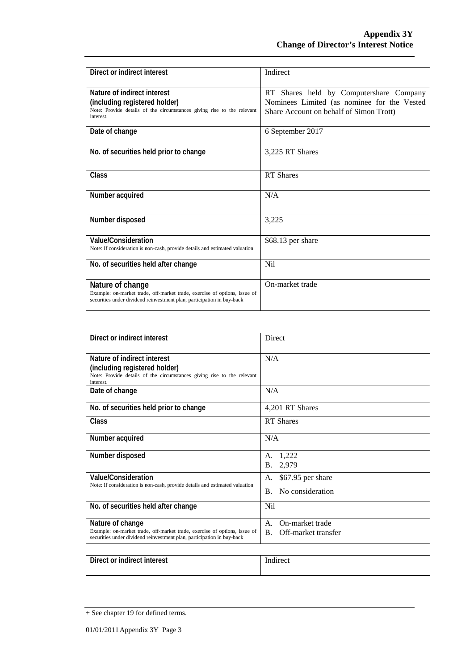| Direct or indirect interest                                                                                                                                             | Indirect                                                                                                                          |
|-------------------------------------------------------------------------------------------------------------------------------------------------------------------------|-----------------------------------------------------------------------------------------------------------------------------------|
| Nature of indirect interest<br>(including registered holder)<br>Note: Provide details of the circumstances giving rise to the relevant<br>interest.                     | RT Shares held by Computershare Company<br>Nominees Limited (as nominee for the Vested<br>Share Account on behalf of Simon Trott) |
| Date of change                                                                                                                                                          | 6 September 2017                                                                                                                  |
| No. of securities held prior to change                                                                                                                                  | 3,225 RT Shares                                                                                                                   |
| <b>Class</b>                                                                                                                                                            | <b>RT</b> Shares                                                                                                                  |
| Number acquired                                                                                                                                                         | N/A                                                                                                                               |
| Number disposed                                                                                                                                                         | 3,225                                                                                                                             |
| Value/Consideration<br>Note: If consideration is non-cash, provide details and estimated valuation                                                                      | \$68.13 per share                                                                                                                 |
| No. of securities held after change                                                                                                                                     | N <sub>i</sub>                                                                                                                    |
| Nature of change<br>Example: on-market trade, off-market trade, exercise of options, issue of<br>securities under dividend reinvestment plan, participation in buy-back | On-market trade                                                                                                                   |

| Direct or indirect interest                                                                                                                         | Direct                                |  |
|-----------------------------------------------------------------------------------------------------------------------------------------------------|---------------------------------------|--|
| Nature of indirect interest<br>(including registered holder)<br>Note: Provide details of the circumstances giving rise to the relevant<br>interest. | N/A                                   |  |
| Date of change                                                                                                                                      | N/A                                   |  |
| No. of securities held prior to change                                                                                                              | 4,201 RT Shares                       |  |
| Class                                                                                                                                               | <b>RT</b> Shares                      |  |
| Number acquired                                                                                                                                     | N/A                                   |  |
| Number disposed                                                                                                                                     | 1,222<br>А.<br>2,979<br>В.            |  |
| Value/Consideration                                                                                                                                 | \$67.95 per share<br>А.               |  |
| Note: If consideration is non-cash, provide details and estimated valuation                                                                         | No consideration<br>$\mathbf{B}$ .    |  |
| No. of securities held after change                                                                                                                 | N <sub>i</sub>                        |  |
| Nature of change                                                                                                                                    | On-market trade<br>A.                 |  |
| Example: on-market trade, off-market trade, exercise of options, issue of<br>securities under dividend reinvestment plan, participation in buy-back | $\mathbf{B}$ .<br>Off-market transfer |  |

| Direct or indirect interest | $\sim$ $\sim$<br>Indirect |
|-----------------------------|---------------------------|
|                             |                           |

<sup>+</sup> See chapter 19 for defined terms.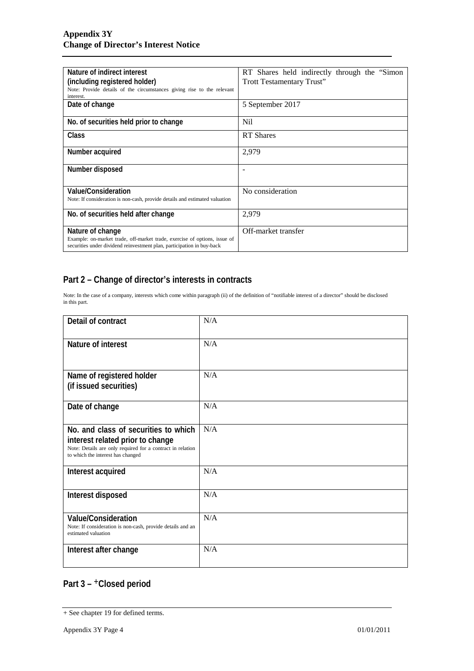| Nature of indirect interest<br>(including registered holder)<br>Note: Provide details of the circumstances giving rise to the relevant<br>interest.                     | RT Shares held indirectly through the "Simon"<br>Trott Testamentary Trust" |
|-------------------------------------------------------------------------------------------------------------------------------------------------------------------------|----------------------------------------------------------------------------|
| Date of change                                                                                                                                                          | 5 September 2017                                                           |
| No. of securities held prior to change                                                                                                                                  | Nil                                                                        |
| Class                                                                                                                                                                   | <b>RT</b> Shares                                                           |
| Number acquired                                                                                                                                                         | 2,979                                                                      |
| Number disposed                                                                                                                                                         |                                                                            |
| Value/Consideration<br>Note: If consideration is non-cash, provide details and estimated valuation                                                                      | No consideration                                                           |
| No. of securities held after change                                                                                                                                     | 2,979                                                                      |
| Nature of change<br>Example: on-market trade, off-market trade, exercise of options, issue of<br>securities under dividend reinvestment plan, participation in buy-back | Off-market transfer                                                        |

### **Part 2 – Change of director's interests in contracts**

Note: In the case of a company, interests which come within paragraph (ii) of the definition of "notifiable interest of a director" should be disclosed in this part.

| Detail of contract                                                                                                                                                          | N/A |
|-----------------------------------------------------------------------------------------------------------------------------------------------------------------------------|-----|
| Nature of interest                                                                                                                                                          | N/A |
| Name of registered holder<br>(if issued securities)                                                                                                                         | N/A |
| Date of change                                                                                                                                                              | N/A |
| No. and class of securities to which<br>interest related prior to change<br>Note: Details are only required for a contract in relation<br>to which the interest has changed | N/A |
| Interest acquired                                                                                                                                                           | N/A |
| Interest disposed                                                                                                                                                           | N/A |
| Value/Consideration<br>Note: If consideration is non-cash, provide details and an<br>estimated valuation                                                                    | N/A |
| Interest after change                                                                                                                                                       | N/A |

### **Part 3 –** +**Closed period**

<sup>+</sup> See chapter 19 for defined terms.